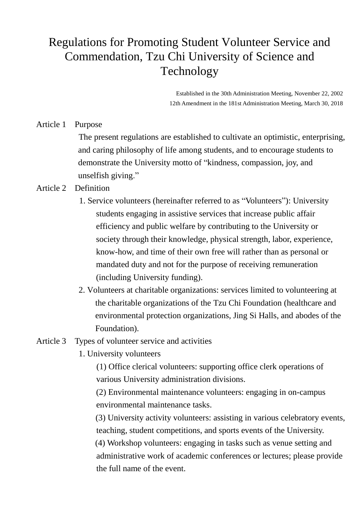# Regulations for Promoting Student Volunteer Service and Commendation, Tzu Chi University of Science and Technology

Established in the 30th Administration Meeting, November 22, 2002 12th Amendment in the 181st Administration Meeting, March 30, 2018

Article 1 Purpose

The present regulations are established to cultivate an optimistic, enterprising, and caring philosophy of life among students, and to encourage students to demonstrate the University motto of "kindness, compassion, joy, and unselfish giving."

## Article 2 Definition

- 1. Service volunteers (hereinafter referred to as "Volunteers"): University students engaging in assistive services that increase public affair efficiency and public welfare by contributing to the University or society through their knowledge, physical strength, labor, experience, know-how, and time of their own free will rather than as personal or mandated duty and not for the purpose of receiving remuneration (including University funding).
- 2. Volunteers at charitable organizations: services limited to volunteering at the charitable organizations of the Tzu Chi Foundation (healthcare and environmental protection organizations, Jing Si Halls, and abodes of the Foundation).
- Article 3 Types of volunteer service and activities
	- 1. University volunteers

(1) Office clerical volunteers: supporting office clerk operations of various University administration divisions.

(2) Environmental maintenance volunteers: engaging in on-campus environmental maintenance tasks.

(3) University activity volunteers: assisting in various celebratory events, teaching, student competitions, and sports events of the University.

(4) Workshop volunteers: engaging in tasks such as venue setting and administrative work of academic conferences or lectures; please provide the full name of the event.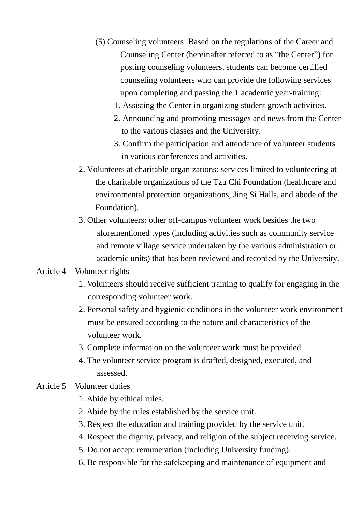- (5) Counseling volunteers: Based on the regulations of the Career and Counseling Center (hereinafter referred to as "the Center") for posting counseling volunteers, students can become certified counseling volunteers who can provide the following services upon completing and passing the 1 academic year-training:
	- 1. Assisting the Center in organizing student growth activities.
	- 2. Announcing and promoting messages and news from the Center to the various classes and the University.
	- 3. Confirm the participation and attendance of volunteer students in various conferences and activities.
- 2. Volunteers at charitable organizations: services limited to volunteering at the charitable organizations of the Tzu Chi Foundation (healthcare and environmental protection organizations, Jing Si Halls, and abode of the Foundation).
- 3. Other volunteers: other off-campus volunteer work besides the two aforementioned types (including activities such as community service and remote village service undertaken by the various administration or academic units) that has been reviewed and recorded by the University.

#### Article 4 Volunteer rights

- 1. Volunteers should receive sufficient training to qualify for engaging in the corresponding volunteer work.
- 2. Personal safety and hygienic conditions in the volunteer work environment must be ensured according to the nature and characteristics of the volunteer work.
- 3. Complete information on the volunteer work must be provided.
- 4. The volunteer service program is drafted, designed, executed, and assessed.

## Article 5 Volunteer duties

- 1. Abide by ethical rules.
- 2. Abide by the rules established by the service unit.
- 3. Respect the education and training provided by the service unit.
- 4. Respect the dignity, privacy, and religion of the subject receiving service.
- 5. Do not accept remuneration (including University funding).
- 6. Be responsible for the safekeeping and maintenance of equipment and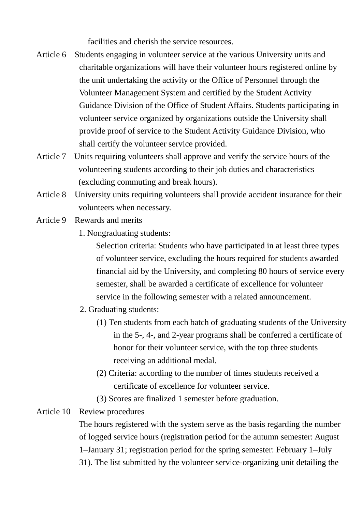facilities and cherish the service resources.

- Article 6 Students engaging in volunteer service at the various University units and charitable organizations will have their volunteer hours registered online by the unit undertaking the activity or the Office of Personnel through the Volunteer Management System and certified by the Student Activity Guidance Division of the Office of Student Affairs. Students participating in volunteer service organized by organizations outside the University shall provide proof of service to the Student Activity Guidance Division, who shall certify the volunteer service provided.
- Article 7 Units requiring volunteers shall approve and verify the service hours of the volunteering students according to their job duties and characteristics (excluding commuting and break hours).
- Article 8 University units requiring volunteers shall provide accident insurance for their volunteers when necessary.
- Article 9 Rewards and merits
	- 1. Nongraduating students:

Selection criteria: Students who have participated in at least three types of volunteer service, excluding the hours required for students awarded financial aid by the University, and completing 80 hours of service every semester, shall be awarded a certificate of excellence for volunteer service in the following semester with a related announcement.

- 2. Graduating students:
	- (1) Ten students from each batch of graduating students of the University in the 5-, 4-, and 2-year programs shall be conferred a certificate of honor for their volunteer service, with the top three students receiving an additional medal.
	- (2) Criteria: according to the number of times students received a certificate of excellence for volunteer service.
	- (3) Scores are finalized 1 semester before graduation.

# Article 10 Review procedures

The hours registered with the system serve as the basis regarding the number of logged service hours (registration period for the autumn semester: August 1–January 31; registration period for the spring semester: February 1–July 31). The list submitted by the volunteer service-organizing unit detailing the